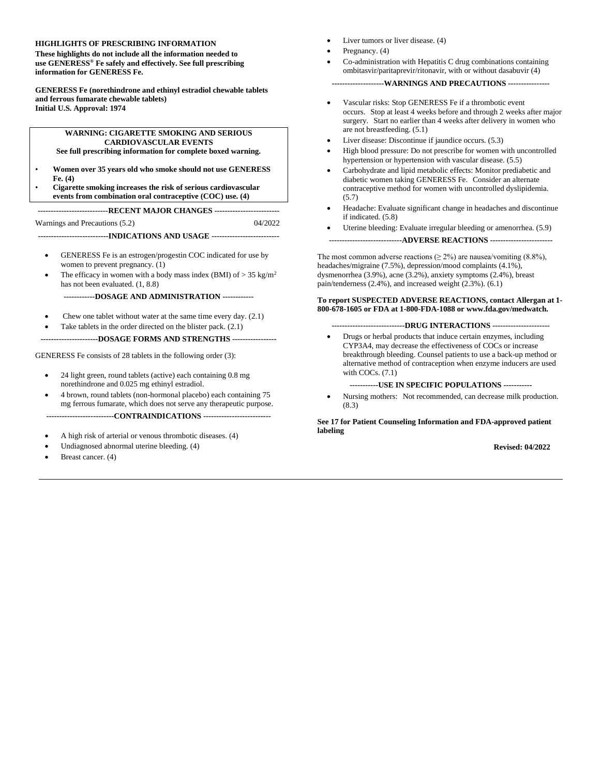#### **HIGHLIGHTS OF PRESCRIBING INFORMATION**

**These highlights do not include all the information needed to use GENERESS® Fe safely and effectively. See full prescribing information for GENERESS Fe.**

**GENERESS Fe (norethindrone and ethinyl estradiol chewable tablets and ferrous fumarate chewable tablets) Initial U.S. Approval: 1974**

#### **WARNING: CIGARETTE SMOKING AND SERIOUS CARDIOVASCULAR EVENTS**

**See full prescribing information for complete boxed warning.**

- **Women over 35 years old who smoke should not use GENERESS Fe. (4)**
- **Cigarette smoking increases the risk of serious cardiovascular events from combination oral contraceptive (COC) use. (4)**

**---------------------------RECENT MAJOR CHANGES -------------------------**

Warnings and Precautions (5.2) 04/2022

**---------------------------INDICATIONS AND USAGE --------------------------**

- GENERESS Fe is an estrogen/progestin COC indicated for use by women to prevent pregnancy. [\(1\)](file:///C:/Users/agiella/AppData/Local/Microsoft/Windows/Temporary%20Internet%20Files/Content.Outlook/AppData/Local/Microsoft/Windows/Temporary%20Internet%20Files/Content.IE5/PWRZYO3D/LINK_86f44828-3c7d-45b4-9cfd-8a474f0908c7)
- The efficacy in women with a body mass index (BMI) of  $> 35$  kg/m<sup>2</sup> has not been evaluated. [\(1,](file:///C:/Users/agiella/AppData/Local/Microsoft/Windows/Temporary%20Internet%20Files/Content.Outlook/AppData/Local/Microsoft/Windows/Temporary%20Internet%20Files/Content.IE5/PWRZYO3D/LINK_86f44828-3c7d-45b4-9cfd-8a474f0908c7) [8.8\)](file:///C:/Users/agiella/AppData/Local/Microsoft/Windows/Temporary%20Internet%20Files/Content.Outlook/AppData/Local/Microsoft/Windows/Temporary%20Internet%20Files/Content.IE5/PWRZYO3D/LINK_36dd2760-c8d0-44c9-a164-9c673c604541)

**------------DOSAGE AND ADMINISTRATION ------------**

- Chew one tablet without water at the same time every day. [\(2.1\)](file:///C:/Users/agiella/AppData/Local/Microsoft/Windows/Temporary%20Internet%20Files/Content.Outlook/AppData/Local/Microsoft/Windows/Temporary%20Internet%20Files/Content.IE5/PWRZYO3D/LINK_10b781b8-9ef6-4103-9bf6-c0dffd93f5fa)
- Take tablets in the order directed on the blister pack.  $(2.1)$

**----------------------DOSAGE FORMS AND STRENGTHS -----------------**

GENERESS Fe consists of 28 tablets in the following order [\(3\)](file:///C:/Users/agiella/AppData/Local/Microsoft/Windows/Temporary%20Internet%20Files/Content.Outlook/AppData/Local/Microsoft/Windows/Temporary%20Internet%20Files/Content.IE5/PWRZYO3D/LINK_a5d23c73-9180-490b-9f7d-1766a679080d):

- 24 light green, round tablets (active) each containing 0.8 mg norethindrone and 0.025 mg ethinyl estradiol.
- 4 brown, round tablets (non-hormonal placebo) each containing 75 mg ferrous fumarate, which does not serve any therapeutic purpose.

**--------------------------CONTRAINDICATIONS --------------------------**

- A high risk of arterial or venous thrombotic diseases. (4)
- Undiagnosed abnormal uterine bleeding. (4)
- Breast cancer. (4)
- Liver tumors or liver disease. (4)
- Pregnancy. (4)
- Co-administration with Hepatitis C drug combinations containing ombitasvir/paritaprevir/ritonavir, with or without dasabuvir (4)

**--------------------WARNINGS AND PRECAUTIONS ----------------**

- Vascular risks: Stop GENERESS Fe if a thrombotic event occurs. Stop at least 4 weeks before and through 2 weeks after major surgery. Start no earlier than 4 weeks after delivery in women who are not breastfeeding. [\(5.1\)](file:///C:/Users/agiella/AppData/Local/Microsoft/Windows/Temporary%20Internet%20Files/Content.Outlook/AppData/Local/Microsoft/Windows/Temporary%20Internet%20Files/Content.IE5/PWRZYO3D/LINK_c92eb6e4-bc6b-45b4-8a37-b7ffca6b4650)
- Liver disease: Discontinue if jaundice occurs. [\(5.3\)](file:///C:/Users/agiella/AppData/Local/Microsoft/Windows/Temporary%20Internet%20Files/Content.Outlook/AppData/Local/Microsoft/Windows/Temporary%20Internet%20Files/Content.IE5/PWRZYO3D/LINK_eadfaa15-261d-4a11-a898-cd19bd2230b5)
- High blood pressure: Do not prescribe for women with uncontrolled hypertension or hypertension with vascular disease. [\(5.5](file:///C:/Users/agiella/AppData/Local/Microsoft/Windows/Temporary%20Internet%20Files/Content.Outlook/AppData/Local/Microsoft/Windows/Temporary%20Internet%20Files/Content.IE5/PWRZYO3D/LINK_a5b72542-5a19-4e6b-826d-356e5ba900dc))
- Carbohydrate and lipid metabolic effects: Monitor prediabetic and diabetic women taking GENERESS Fe. Consider an alternate contraceptive method for women with uncontrolled dyslipidemia. [\(5.7](file:///C:/Users/agiella/AppData/Local/Microsoft/Windows/Temporary%20Internet%20Files/Content.Outlook/AppData/Local/Microsoft/Windows/Temporary%20Internet%20Files/Content.IE5/PWRZYO3D/LINK_dea441dc-6a71-4601-8e5f-74789cf6c7aa))
- Headache: Evaluate significant change in headaches and discontinue if indicated. [\(5.8](file:///C:/Users/agiella/AppData/Local/Microsoft/Windows/Temporary%20Internet%20Files/Content.Outlook/AppData/Local/Microsoft/Windows/Temporary%20Internet%20Files/Content.IE5/PWRZYO3D/LINK_02d51f45-0845-428f-8d94-57aba2c8a5f1))
- Uterine bleeding: Evaluate irregular bleeding or amenorrhea. [\(5.9](file:///C:/Users/agiella/AppData/Local/Microsoft/Windows/Temporary%20Internet%20Files/Content.Outlook/AppData/Local/Microsoft/Windows/Temporary%20Internet%20Files/Content.IE5/PWRZYO3D/LINK_323d9eb8-7bcd-4832-a6cb-76dec262b6c3))
- **----------------------------ADVERSE REACTIONS ------------------------**

The most common adverse reactions ( $\geq 2\%$ ) are nausea/vomiting (8.8%), headaches/migraine (7.5%), depression/mood complaints (4.1%), dysmenorrhea (3.9%), acne (3.2%), anxiety symptoms (2.4%), breast pain/tenderness (2.4%), and increased weight (2.3%). [\(6.1\)](file:///C:/Users/agiella/AppData/Local/Microsoft/Windows/Temporary%20Internet%20Files/Content.Outlook/AppData/Local/Microsoft/Windows/Temporary%20Internet%20Files/Content.IE5/PWRZYO3D/LINK_202b3680-f065-4748-bd08-d6b6793e93f7)

#### **To report SUSPECTED ADVERSE REACTIONS, contact Allergan at 1- 800-678-1605 or FDA at 1-800-FDA-1088 or www.fda.gov/medwatch***.*

#### **----------------------------DRUG INTERACTIONS ----------------------**

• Drugs or herbal products that induce certain enzymes, including CYP3A4, may decrease the effectiveness of COCs or increase breakthrough bleeding. Counsel patients to use a back-up method or alternative method of contraception when enzyme inducers are used with COCs. [\(7.1\)](file:///C:/Users/agiella/AppData/Local/Microsoft/Windows/Temporary%20Internet%20Files/Content.Outlook/AppData/Local/Microsoft/Windows/Temporary%20Internet%20Files/Content.IE5/PWRZYO3D/LINK_95f67da8-65e9-4ee2-80dc-55e8f23cbd96)

**-----------USE IN SPECIFIC POPULATIONS -----------**

• Nursing mothers: Not recommended, can decrease milk production. [\(8.3\)](file:///C:/Users/agiella/AppData/Local/Microsoft/Windows/Temporary%20Internet%20Files/Content.Outlook/AppData/Local/Microsoft/Windows/Temporary%20Internet%20Files/Content.IE5/PWRZYO3D/LINK_ec60075c-1226-4ca4-a4ed-26f567b407cf)

**See 17 for Patient Counseling Information and FDA-approved patient labeling**

#### **Revised: 04/2022**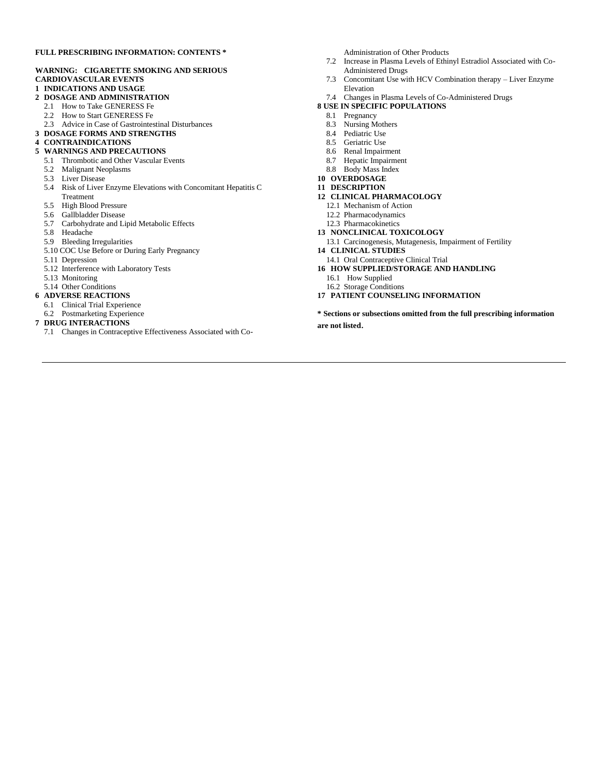#### **FULL PRESCRIBING INFORMATION: CONTENTS \***

#### **WARNING: CIGARETTE SMOKING AND SERIOUS CARDIOVASCULAR EVENTS**

**1 INDICATIONS AND USAGE**

#### **2 DOSAGE AND ADMINISTRATION**

- 2.1 How to Take GENERESS Fe
- 2.2 How to Start GENERESS Fe
- 2.3 Advice in Case of Gastrointestinal Disturbances
- **3 DOSAGE FORMS AND STRENGTHS**

#### **4 CONTRAINDICATIONS**

- **5 WARNINGS AND PRECAUTIONS**
	- 5.1 Thrombotic and Other Vascular Events
	- 5.2 Malignant Neoplasms
	- 5.3 Liver Disease
	- 5.4 Risk of Liver Enzyme Elevations with Concomitant Hepatitis C
	- Treatment
	- 5.5 High Blood Pressure
	- 5.6 Gallbladder Disease
	- 5.7 Carbohydrate and Lipid Metabolic Effects
	- 5.8 Headache
	- 5.9 Bleeding Irregularities
	- 5.10 COC Use Before or During Early Pregnancy
	- 5.11 Depression
	- 5.12 Interference with Laboratory Tests
	- 5.13 Monitoring
	- 5.14 Other Conditions

#### **6 ADVERSE REACTIONS**

- 6.1 Clinical Trial Experience
- 6.2 Postmarketing Experience
- **7 DRUG INTERACTIONS**
	- 7.1 Changes in Contraceptive Effectiveness Associated with Co-

Administration of Other Products

- 7.2 Increase in Plasma Levels of Ethinyl Estradiol Associated with Co-Administered Drugs
- 7.3 Concomitant Use with HCV Combination therapy Liver Enzyme Elevation
- 7.4 Changes in Plasma Levels of Co-Administered Drugs
- **8 USE IN SPECIFIC POPULATIONS**
	- 8.1 Pregnancy
	- 8.3 Nursing Mothers
	- 8.4 Pediatric Use
	- 8.5 Geriatric Use
	- 8.6 Renal Impairment
	- 8.7 Hepatic Impairment
	- 8.8 Body Mass Index
- **10 OVERDOSAGE**
- **11 DESCRIPTION**
- **12 CLINICAL PHARMACOLOGY**
	- 12.1 Mechanism of Action
	- 12.2 Pharmacodynamics
	- 12.3 Pharmacokinetics
- **13 NONCLINICAL TOXICOLOGY**
	- 13.1 Carcinogenesis, Mutagenesis, Impairment of Fertility
- **14 CLINICAL STUDIES**
- 14.1 Oral Contraceptive Clinical Trial
- **16 HOW SUPPLIED/STORAGE AND HANDLING**
	- 16.1 How Supplied
	- 16.2 Storage Conditions
- **17 PATIENT COUNSELING INFORMATION**

**\* Sections or subsections omitted from the full prescribing information are not listed**.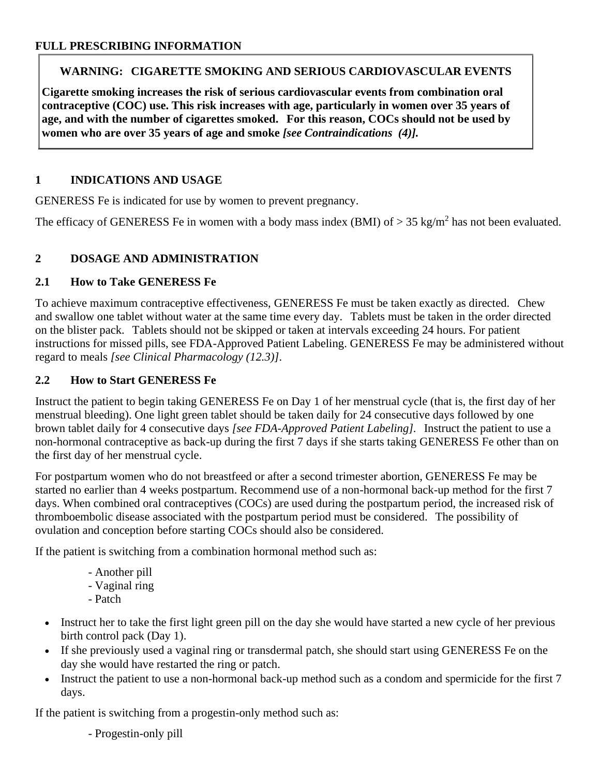## **WARNING: CIGARETTE SMOKING AND SERIOUS CARDIOVASCULAR EVENTS**

**Cigarette smoking increases the risk of serious cardiovascular events from combination oral contraceptive (COC) use. This risk increases with age, particularly in women over 35 years of age, and with the number of cigarettes smoked. For this reason, COCs should not be used by women who are over 35 years of age and smoke** *[see [Contraindications](file:///C:/Users/agiella/AppData/Local/Microsoft/Windows/Temporary%20Internet%20Files/Content.Outlook/AppData/Local/Microsoft/Windows/Temporary%20Internet%20Files/Content.IE5/PWRZYO3D/LINK_ac83928f-ccd0-4e80-a016-279a29b57cb5) (4)].*

## **1 INDICATIONS AND USAGE**

GENERESS Fe is indicated for use by women to prevent pregnancy.

The efficacy of GENERESS Fe in women with a body mass index (BMI) of  $> 35 \text{ kg/m}^2$  has not been evaluated.

# **2 DOSAGE AND ADMINISTRATION**

## **2.1 How to Take GENERESS Fe**

To achieve maximum contraceptive effectiveness, GENERESS Fe must be taken exactly as directed. Chew and swallow one tablet without water at the same time every day. Tablets must be taken in the order directed on the blister pack. Tablets should not be skipped or taken at intervals exceeding 24 hours. For patient instructions for missed pills, see FDA-Approved Patient Labeling. GENERESS Fe may be administered without regard to meals *[see Clinical Pharmacology (12.3)]*.

## **2.2 How to Start GENERESS Fe**

Instruct the patient to begin taking GENERESS Fe on Day 1 of her menstrual cycle (that is, the first day of her menstrual bleeding). One light green tablet should be taken daily for 24 consecutive days followed by one brown tablet daily for 4 consecutive days *[see FDA-Approved Patient Labeling].* Instruct the patient to use a non-hormonal contraceptive as back-up during the first 7 days if she starts taking GENERESS Fe other than on the first day of her menstrual cycle.

For postpartum women who do not breastfeed or after a second trimester abortion, GENERESS Fe may be started no earlier than 4 weeks postpartum. Recommend use of a non-hormonal back-up method for the first 7 days. When combined oral contraceptives (COCs) are used during the postpartum period, the increased risk of thromboembolic disease associated with the postpartum period must be considered. The possibility of ovulation and conception before starting COCs should also be considered.

If the patient is switching from a combination hormonal method such as:

- Another pill - Vaginal ring - Patch
- Instruct her to take the first light green pill on the day she would have started a new cycle of her previous birth control pack (Day 1).
- If she previously used a vaginal ring or transdermal patch, she should start using GENERESS Fe on the day she would have restarted the ring or patch.
- Instruct the patient to use a non-hormonal back-up method such as a condom and spermicide for the first 7 days.

If the patient is switching from a progestin-only method such as:

- Progestin-only pill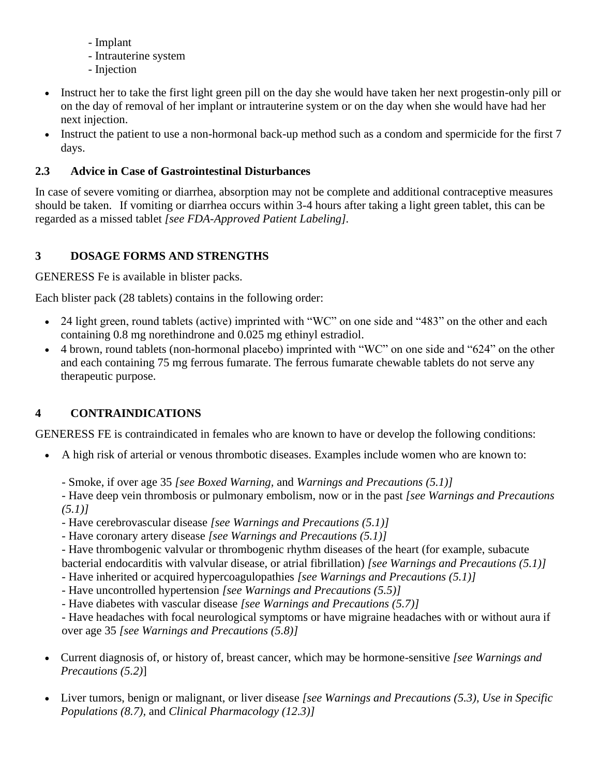- Implant
- Intrauterine system
- Injection
- Instruct her to take the first light green pill on the day she would have taken her next progestin-only pill or on the day of removal of her implant or intrauterine system or on the day when she would have had her next injection.
- Instruct the patient to use a non-hormonal back-up method such as a condom and spermicide for the first 7 days.

## **2.3 Advice in Case of Gastrointestinal Disturbances**

In case of severe vomiting or diarrhea, absorption may not be complete and additional contraceptive measures should be taken. If vomiting or diarrhea occurs within 3-4 hours after taking a light green tablet, this can be regarded as a missed tablet *[see FDA-Approved Patient Labeling].*

# **3 DOSAGE FORMS AND STRENGTHS**

GENERESS Fe is available in blister packs.

Each blister pack (28 tablets) contains in the following order:

- 24 light green, round tablets (active) imprinted with "WC" on one side and "483" on the other and each containing 0.8 mg norethindrone and 0.025 mg ethinyl estradiol.
- 4 brown, round tablets (non-hormonal placebo) imprinted with "WC" on one side and "624" on the other and each containing 75 mg ferrous fumarate. The ferrous fumarate chewable tablets do not serve any therapeutic purpose.

# <span id="page-3-0"></span>**4 CONTRAINDICATIONS**

GENERESS FE is contraindicated in females who are known to have or develop the following conditions:

- A high risk of arterial or venous thrombotic diseases. Examples include women who are known to:
	- Smoke, if over age 35 *[see Boxed Warning,* and *Warnings and Precautions [\(5.1\)](file:///C:/Users/agiella/AppData/Local/Microsoft/Windows/Temporary%20Internet%20Files/Content.Outlook/AppData/Local/Microsoft/Windows/Temporary%20Internet%20Files/Content.IE5/PWRZYO3D/LINK_c92eb6e4-bc6b-45b4-8a37-b7ffca6b4650)]*
	- Have deep vein thrombosis or pulmonary embolism, now or in the past *[see Warnings and Precautions [\(5.1\)](file:///C:/Users/agiella/AppData/Local/Microsoft/Windows/Temporary%20Internet%20Files/Content.Outlook/AppData/Local/Microsoft/Windows/Temporary%20Internet%20Files/Content.IE5/PWRZYO3D/LINK_c92eb6e4-bc6b-45b4-8a37-b7ffca6b4650)]*
	- Have cerebrovascular disease *[see Warnings and Precautions [\(5.1\)](file:///C:/Users/agiella/AppData/Local/Microsoft/Windows/Temporary%20Internet%20Files/Content.Outlook/AppData/Local/Microsoft/Windows/Temporary%20Internet%20Files/Content.IE5/PWRZYO3D/LINK_c92eb6e4-bc6b-45b4-8a37-b7ffca6b4650)]*
	- Have coronary artery disease *[see Warnings and Precautions [\(5.1\)](file:///C:/Users/agiella/AppData/Local/Microsoft/Windows/Temporary%20Internet%20Files/Content.Outlook/AppData/Local/Microsoft/Windows/Temporary%20Internet%20Files/Content.IE5/PWRZYO3D/LINK_c92eb6e4-bc6b-45b4-8a37-b7ffca6b4650)]*

- Have thrombogenic valvular or thrombogenic rhythm diseases of the heart (for example, subacute bacterial endocarditis with valvular disease, or atrial fibrillation) *[see Warnings and Precautions [\(5.1\)](file:///C:/Users/agiella/AppData/Local/Microsoft/Windows/Temporary%20Internet%20Files/Content.Outlook/AppData/Local/Microsoft/Windows/Temporary%20Internet%20Files/Content.IE5/PWRZYO3D/LINK_c92eb6e4-bc6b-45b4-8a37-b7ffca6b4650)]*

- Have inherited or acquired hypercoagulopathies *[see Warnings and Precautions [\(5.1\)](file:///C:/Users/agiella/AppData/Local/Microsoft/Windows/Temporary%20Internet%20Files/Content.Outlook/AppData/Local/Microsoft/Windows/Temporary%20Internet%20Files/Content.IE5/PWRZYO3D/LINK_c92eb6e4-bc6b-45b4-8a37-b7ffca6b4650)]*
- Have uncontrolled hypertension *[see Warnings and Precautions [\(5.5](file:///C:/Users/agiella/AppData/Local/Microsoft/Windows/Temporary%20Internet%20Files/Content.Outlook/AppData/Local/Microsoft/Windows/Temporary%20Internet%20Files/Content.IE5/PWRZYO3D/LINK_a5b72542-5a19-4e6b-826d-356e5ba900dc))]*
- Have diabetes with vascular disease *[see Warnings and Precautions [\(5.7](file:///C:/Users/agiella/AppData/Local/Microsoft/Windows/Temporary%20Internet%20Files/Content.Outlook/AppData/Local/Microsoft/Windows/Temporary%20Internet%20Files/Content.IE5/PWRZYO3D/LINK_dea441dc-6a71-4601-8e5f-74789cf6c7aa))]*

- Have headaches with focal neurological symptoms or have migraine headaches with or without aura if over age 35 *[see Warnings and Precautions [\(5.8](file:///C:/Users/agiella/AppData/Local/Microsoft/Windows/Temporary%20Internet%20Files/Content.Outlook/AppData/Local/Microsoft/Windows/Temporary%20Internet%20Files/Content.IE5/PWRZYO3D/LINK_02d51f45-0845-428f-8d94-57aba2c8a5f1))]*

- Current diagnosis of, or history of, breast cancer, which may be hormone-sensitive *[see Warnings and Precautions [\(5.2\)](file:///C:/Users/agiella/AppData/Local/Microsoft/Windows/Temporary%20Internet%20Files/Content.Outlook/AppData/Local/Microsoft/Windows/Temporary%20Internet%20Files/Content.IE5/PWRZYO3D/LINK_92fc0191-36cc-4830-b099-a98d6db2f18d)*]
- Liver tumors, benign or malignant, or liver disease *[see Warnings and Precautions [\(5.3\)](file:///C:/Users/agiella/AppData/Local/Microsoft/Windows/Temporary%20Internet%20Files/Content.Outlook/AppData/Local/Microsoft/Windows/Temporary%20Internet%20Files/Content.IE5/PWRZYO3D/LINK_eadfaa15-261d-4a11-a898-cd19bd2230b5), Use in Specific Populations [\(8.7\)](file:///C:/Users/agiella/AppData/Local/Microsoft/Windows/Temporary%20Internet%20Files/Content.Outlook/AppData/Local/Microsoft/Windows/Temporary%20Internet%20Files/Content.IE5/PWRZYO3D/LINK_f55de095-c6bd-43cd-a6d0-8940f9610a41),* and *Clinical Pharmacology [\(12.3\)](file:///C:/Users/agiella/AppData/Local/Microsoft/Windows/Temporary%20Internet%20Files/Content.Outlook/AppData/Local/Microsoft/Windows/Temporary%20Internet%20Files/Content.IE5/PWRZYO3D/LINK_4c60658e-8d0b-495b-871e-68ddd99764ff)]*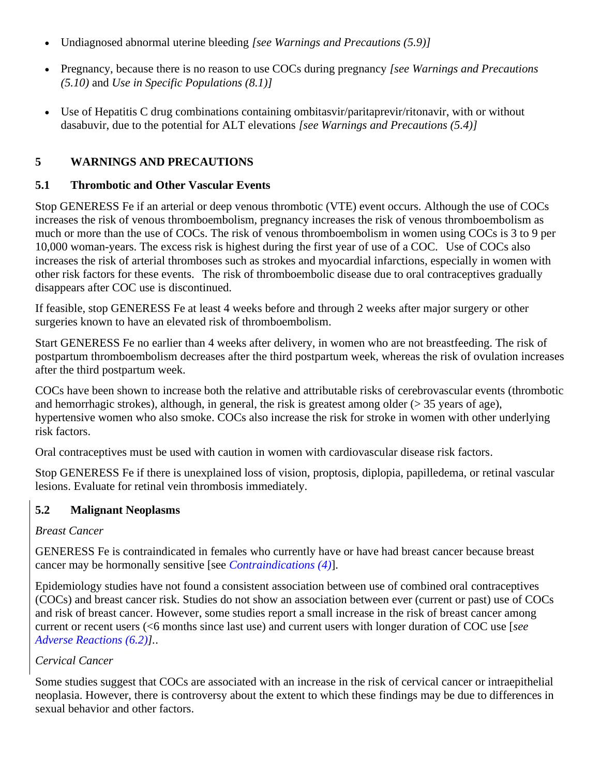- Undiagnosed abnormal uterine bleeding *[see Warnings and Precautions [\(5.9](file:///C:/Users/agiella/AppData/Local/Microsoft/Windows/Temporary%20Internet%20Files/Content.Outlook/AppData/Local/Microsoft/Windows/Temporary%20Internet%20Files/Content.IE5/PWRZYO3D/LINK_323d9eb8-7bcd-4832-a6cb-76dec262b6c3))]*
- Pregnancy, because there is no reason to use COCs during pregnancy *[see Warnings and Precautions [\(5.1](file:///C:/Users/agiella/AppData/Local/Microsoft/Windows/Temporary%20Internet%20Files/Content.Outlook/AppData/Local/Microsoft/Windows/Temporary%20Internet%20Files/Content.IE5/PWRZYO3D/LINK_2369d753-1ca3-4328-9023-75fb7237f5dc)0)* and *Use in Specific Populations [\(8.1\)](file:///C:/Users/agiella/AppData/Local/Microsoft/Windows/Temporary%20Internet%20Files/Content.Outlook/AppData/Local/Microsoft/Windows/Temporary%20Internet%20Files/Content.IE5/PWRZYO3D/LINK_4c94ae6a-2a04-4431-b776-93aa18f4b251)]*
- Use of Hepatitis C drug combinations containing ombitasvir/paritaprevir/ritonavir, with or without dasabuvir, due to the potential for ALT elevations *[see Warnings and Precautions (5.4)]*

## **5 WARNINGS AND PRECAUTIONS**

#### **5.1 Thrombotic and Other Vascular Events**

Stop GENERESS Fe if an arterial or deep venous thrombotic (VTE) event occurs. Although the use of COCs increases the risk of venous thromboembolism, pregnancy increases the risk of venous thromboembolism as much or more than the use of COCs. The risk of venous thromboembolism in women using COCs is 3 to 9 per 10,000 woman-years. The excess risk is highest during the first year of use of a COC. Use of COCs also increases the risk of arterial thromboses such as strokes and myocardial infarctions, especially in women with other risk factors for these events. The risk of thromboembolic disease due to oral contraceptives gradually disappears after COC use is discontinued.

If feasible, stop GENERESS Fe at least 4 weeks before and through 2 weeks after major surgery or other surgeries known to have an elevated risk of thromboembolism.

Start GENERESS Fe no earlier than 4 weeks after delivery, in women who are not breastfeeding. The risk of postpartum thromboembolism decreases after the third postpartum week, whereas the risk of ovulation increases after the third postpartum week.

COCs have been shown to increase both the relative and attributable risks of cerebrovascular events (thrombotic and hemorrhagic strokes), although, in general, the risk is greatest among older (> 35 years of age), hypertensive women who also smoke. COCs also increase the risk for stroke in women with other underlying risk factors.

Oral contraceptives must be used with caution in women with cardiovascular disease risk factors.

Stop GENERESS Fe if there is unexplained loss of vision, proptosis, diplopia, papilledema, or retinal vascular lesions. Evaluate for retinal vein thrombosis immediately.

## **5.2 Malignant Neoplasms**

## *Breast Cancer*

GENERESS Fe is contraindicated in females who currently have or have had breast cancer because breast cancer may be hormonally sensitive [see *[Contraindications](#page-3-0) (4)*].

Epidemiology studies have not found a consistent association between use of combined oral contraceptives (COCs) and breast cancer risk. Studies do not show an association between ever (current or past) use of COCs and risk of breast cancer. However, some studies report a small increase in the risk of breast cancer among current or recent users (<6 months since last use) and current users with longer duration of COC use [*see [Adverse Reactions](#page-7-0) (6.2)].*.

## *Cervical Cancer*

Some studies suggest that COCs are associated with an increase in the risk of cervical cancer or intraepithelial neoplasia. However, there is controversy about the extent to which these findings may be due to differences in sexual behavior and other factors.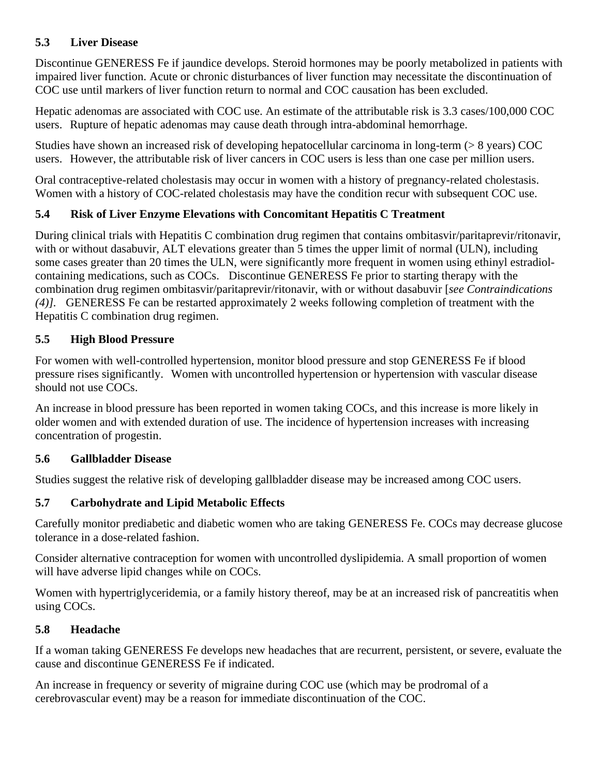## **5.3 Liver Disease**

Discontinue GENERESS Fe if jaundice develops. Steroid hormones may be poorly metabolized in patients with impaired liver function. Acute or chronic disturbances of liver function may necessitate the discontinuation of COC use until markers of liver function return to normal and COC causation has been excluded.

Hepatic adenomas are associated with COC use. An estimate of the attributable risk is 3.3 cases/100,000 COC users. Rupture of hepatic adenomas may cause death through intra-abdominal hemorrhage.

Studies have shown an increased risk of developing hepatocellular carcinoma in long-term (> 8 years) COC users. However, the attributable risk of liver cancers in COC users is less than one case per million users.

Oral contraceptive-related cholestasis may occur in women with a history of pregnancy-related cholestasis. Women with a history of COC-related cholestasis may have the condition recur with subsequent COC use.

## **5.4 Risk of Liver Enzyme Elevations with Concomitant Hepatitis C Treatment**

During clinical trials with Hepatitis C combination drug regimen that contains ombitasvir/paritaprevir/ritonavir, with or without dasabuvir, ALT elevations greater than 5 times the upper limit of normal (ULN), including some cases greater than 20 times the ULN, were significantly more frequent in women using ethinyl estradiolcontaining medications, such as COCs. Discontinue GENERESS Fe prior to starting therapy with the combination drug regimen ombitasvir/paritaprevir/ritonavir, with or without dasabuvir [*see Contraindications (4)].* GENERESS Fe can be restarted approximately 2 weeks following completion of treatment with the Hepatitis C combination drug regimen.

## **5.5 High Blood Pressure**

For women with well-controlled hypertension, monitor blood pressure and stop GENERESS Fe if blood pressure rises significantly. Women with uncontrolled hypertension or hypertension with vascular disease should not use COCs.

An increase in blood pressure has been reported in women taking COCs, and this increase is more likely in older women and with extended duration of use. The incidence of hypertension increases with increasing concentration of progestin.

## **5.6 Gallbladder Disease**

Studies suggest the relative risk of developing gallbladder disease may be increased among COC users.

## **5.7 Carbohydrate and Lipid Metabolic Effects**

Carefully monitor prediabetic and diabetic women who are taking GENERESS Fe. COCs may decrease glucose tolerance in a dose-related fashion.

Consider alternative contraception for women with uncontrolled dyslipidemia. A small proportion of women will have adverse lipid changes while on COCs.

Women with hypertriglyceridemia, or a family history thereof, may be at an increased risk of pancreatitis when using COCs.

#### **5.8 Headache**

If a woman taking GENERESS Fe develops new headaches that are recurrent, persistent, or severe, evaluate the cause and discontinue GENERESS Fe if indicated.

An increase in frequency or severity of migraine during COC use (which may be prodromal of a cerebrovascular event) may be a reason for immediate discontinuation of the COC.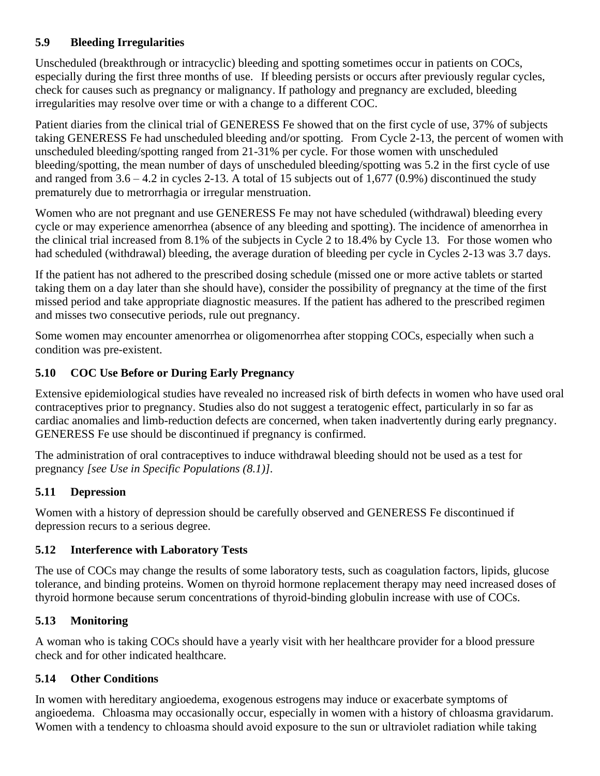## **5.9 Bleeding Irregularities**

Unscheduled (breakthrough or intracyclic) bleeding and spotting sometimes occur in patients on COCs, especially during the first three months of use. If bleeding persists or occurs after previously regular cycles, check for causes such as pregnancy or malignancy. If pathology and pregnancy are excluded, bleeding irregularities may resolve over time or with a change to a different COC.

Patient diaries from the clinical trial of GENERESS Fe showed that on the first cycle of use, 37% of subjects taking GENERESS Fe had unscheduled bleeding and/or spotting. From Cycle 2-13, the percent of women with unscheduled bleeding/spotting ranged from 21-31% per cycle. For those women with unscheduled bleeding/spotting, the mean number of days of unscheduled bleeding/spotting was 5.2 in the first cycle of use and ranged from  $3.6 - 4.2$  in cycles 2-13. A total of 15 subjects out of 1,677 (0.9%) discontinued the study prematurely due to metrorrhagia or irregular menstruation.

Women who are not pregnant and use GENERESS Fe may not have scheduled (withdrawal) bleeding every cycle or may experience amenorrhea (absence of any bleeding and spotting). The incidence of amenorrhea in the clinical trial increased from 8.1% of the subjects in Cycle 2 to 18.4% by Cycle 13. For those women who had scheduled (withdrawal) bleeding, the average duration of bleeding per cycle in Cycles 2-13 was 3.7 days.

If the patient has not adhered to the prescribed dosing schedule (missed one or more active tablets or started taking them on a day later than she should have), consider the possibility of pregnancy at the time of the first missed period and take appropriate diagnostic measures. If the patient has adhered to the prescribed regimen and misses two consecutive periods, rule out pregnancy.

Some women may encounter amenorrhea or oligomenorrhea after stopping COCs, especially when such a condition was pre-existent.

## **5.10 COC Use Before or During Early Pregnancy**

Extensive epidemiological studies have revealed no increased risk of birth defects in women who have used oral contraceptives prior to pregnancy. Studies also do not suggest a teratogenic effect, particularly in so far as cardiac anomalies and limb-reduction defects are concerned, when taken inadvertently during early pregnancy. GENERESS Fe use should be discontinued if pregnancy is confirmed.

The administration of oral contraceptives to induce withdrawal bleeding should not be used as a test for pregnancy *[see Use in Specific Populations [\(8.1\)](file:///C:/Users/agiella/AppData/Local/Microsoft/Windows/Temporary%20Internet%20Files/Content.Outlook/AppData/Local/Microsoft/Windows/Temporary%20Internet%20Files/Content.IE5/PWRZYO3D/LINK_4c94ae6a-2a04-4431-b776-93aa18f4b251)]*.

# **5.11 Depression**

Women with a history of depression should be carefully observed and GENERESS Fe discontinued if depression recurs to a serious degree.

## **5.12 Interference with Laboratory Tests**

The use of COCs may change the results of some laboratory tests, such as coagulation factors, lipids, glucose tolerance, and binding proteins. Women on thyroid hormone replacement therapy may need increased doses of thyroid hormone because serum concentrations of thyroid-binding globulin increase with use of COCs.

# **5.13 Monitoring**

A woman who is taking COCs should have a yearly visit with her healthcare provider for a blood pressure check and for other indicated healthcare.

# **5.14 Other Conditions**

In women with hereditary angioedema, exogenous estrogens may induce or exacerbate symptoms of angioedema. Chloasma may occasionally occur, especially in women with a history of chloasma gravidarum. Women with a tendency to chloasma should avoid exposure to the sun or ultraviolet radiation while taking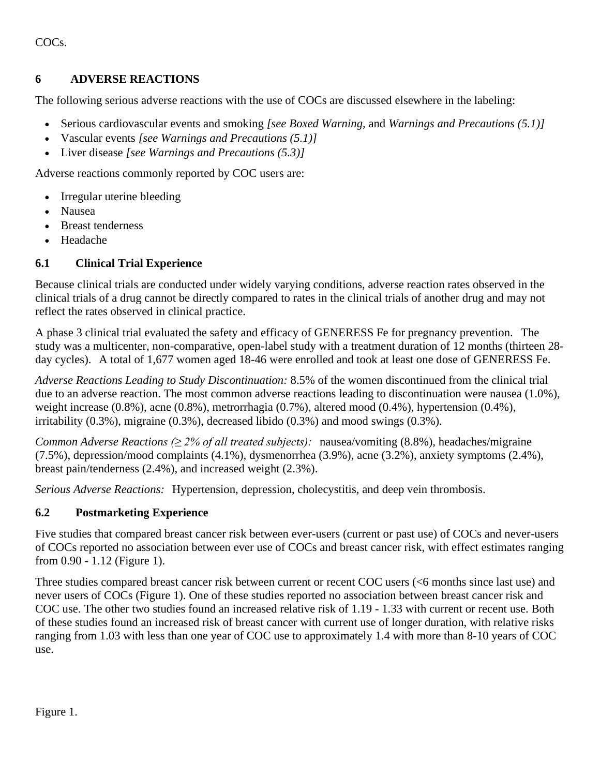COCs.

#### **6 ADVERSE REACTIONS**

The following serious adverse reactions with the use of COCs are discussed elsewhere in the labeling:

- Serious cardiovascular events and smoking *[see Boxed Warning,* and *Warnings and Precautions [\(5.1\)](file:///C:/Users/agiella/AppData/Local/Microsoft/Windows/Temporary%20Internet%20Files/Content.Outlook/AppData/Local/Microsoft/Windows/Temporary%20Internet%20Files/Content.IE5/PWRZYO3D/LINK_c92eb6e4-bc6b-45b4-8a37-b7ffca6b4650)]*
- Vascular events *[see Warnings and Precautions [\(5.1\)](file:///C:/Users/agiella/AppData/Local/Microsoft/Windows/Temporary%20Internet%20Files/Content.Outlook/AppData/Local/Microsoft/Windows/Temporary%20Internet%20Files/Content.IE5/PWRZYO3D/LINK_c92eb6e4-bc6b-45b4-8a37-b7ffca6b4650)]*
- Liver disease *[see Warnings and Precautions [\(5.3\)](file:///C:/Users/agiella/AppData/Local/Microsoft/Windows/Temporary%20Internet%20Files/Content.Outlook/AppData/Local/Microsoft/Windows/Temporary%20Internet%20Files/Content.IE5/PWRZYO3D/LINK_eadfaa15-261d-4a11-a898-cd19bd2230b5)]*

Adverse reactions commonly reported by COC users are:

- Irregular uterine bleeding
- Nausea
- Breast tenderness
- Headache

## **6.1 Clinical Trial Experience**

Because clinical trials are conducted under widely varying conditions, adverse reaction rates observed in the clinical trials of a drug cannot be directly compared to rates in the clinical trials of another drug and may not reflect the rates observed in clinical practice.

A phase 3 clinical trial evaluated the safety and efficacy of GENERESS Fe for pregnancy prevention. The study was a multicenter, non-comparative, open-label study with a treatment duration of 12 months (thirteen 28 day cycles). A total of 1,677 women aged 18-46 were enrolled and took at least one dose of GENERESS Fe.

*Adverse Reactions Leading to Study Discontinuation:* 8.5% of the women discontinued from the clinical trial due to an adverse reaction. The most common adverse reactions leading to discontinuation were nausea (1.0%), weight increase  $(0.8\%)$ , acne  $(0.8\%)$ , metrorrhagia  $(0.7\%)$ , altered mood  $(0.4\%)$ , hypertension  $(0.4\%)$ , irritability (0.3%), migraine (0.3%), decreased libido (0.3%) and mood swings (0.3%).

*Common Adverse Reactions (≥ 2% of all treated subjects):* nausea/vomiting (8.8%), headaches/migraine (7.5%), depression/mood complaints (4.1%), dysmenorrhea (3.9%), acne (3.2%), anxiety symptoms (2.4%), breast pain/tenderness (2.4%), and increased weight (2.3%).

*Serious Adverse Reactions:* Hypertension, depression, cholecystitis, and deep vein thrombosis.

## <span id="page-7-0"></span>**6.2 Postmarketing Experience**

Five studies that compared breast cancer risk between ever-users (current or past use) of COCs and never-users of COCs reported no association between ever use of COCs and breast cancer risk, with effect estimates ranging from 0.90 - 1.12 (Figure 1).

Three studies compared breast cancer risk between current or recent COC users (<6 months since last use) and never users of COCs (Figure 1). One of these studies reported no association between breast cancer risk and COC use. The other two studies found an increased relative risk of 1.19 - 1.33 with current or recent use. Both of these studies found an increased risk of breast cancer with current use of longer duration, with relative risks ranging from 1.03 with less than one year of COC use to approximately 1.4 with more than 8-10 years of COC use.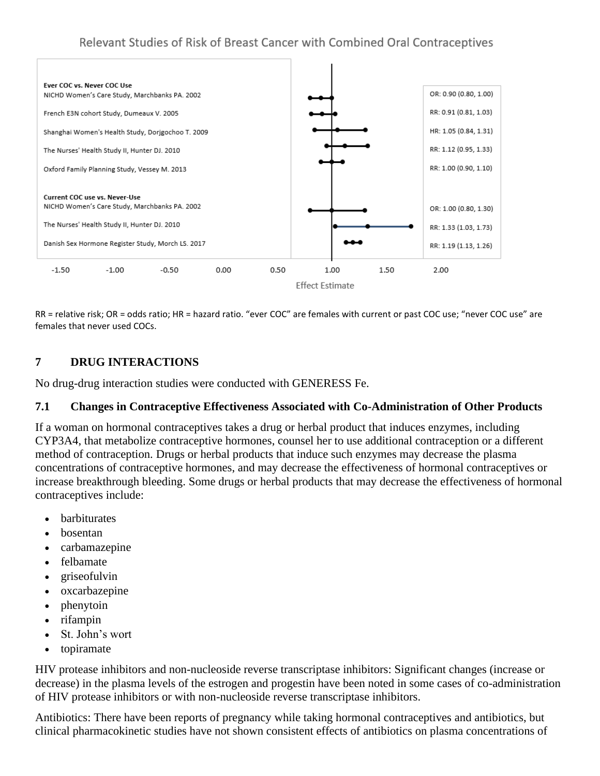

RR = relative risk; OR = odds ratio; HR = hazard ratio. "ever COC" are females with current or past COC use; "never COC use" are females that never used COCs.

## **7 DRUG INTERACTIONS**

No drug-drug interaction studies were conducted with GENERESS Fe.

#### **7.1 Changes in Contraceptive Effectiveness Associated with Co-Administration of Other Products**

If a woman on hormonal contraceptives takes a drug or herbal product that induces enzymes, including CYP3A4, that metabolize contraceptive hormones, counsel her to use additional contraception or a different method of contraception. Drugs or herbal products that induce such enzymes may decrease the plasma concentrations of contraceptive hormones, and may decrease the effectiveness of hormonal contraceptives or increase breakthrough bleeding. Some drugs or herbal products that may decrease the effectiveness of hormonal contraceptives include:

- **barbiturates**
- bosentan
- carbamazepine
- felbamate
- griseofulvin
- oxcarbazepine
- phenytoin
- rifampin
- St. John's wort
- topiramate

HIV protease inhibitors and non-nucleoside reverse transcriptase inhibitors: Significant changes (increase or decrease) in the plasma levels of the estrogen and progestin have been noted in some cases of co-administration of HIV protease inhibitors or with non-nucleoside reverse transcriptase inhibitors.

Antibiotics: There have been reports of pregnancy while taking hormonal contraceptives and antibiotics, but clinical pharmacokinetic studies have not shown consistent effects of antibiotics on plasma concentrations of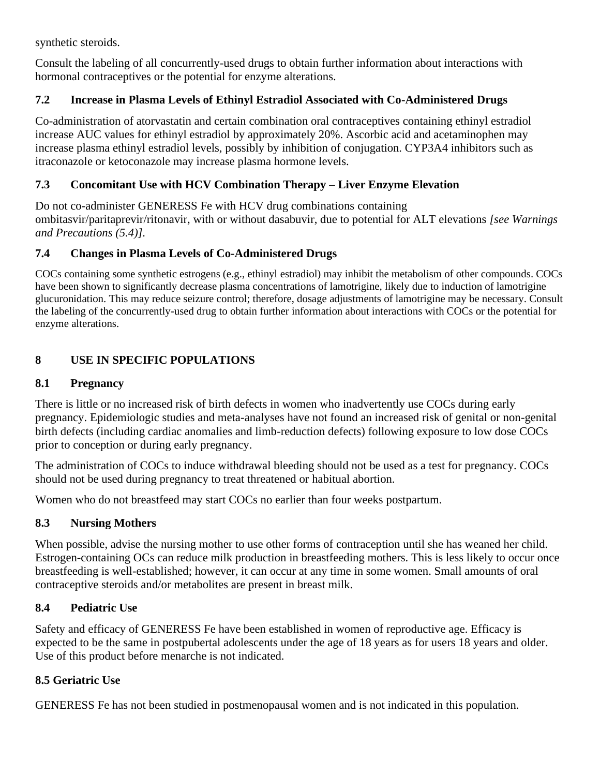synthetic steroids.

Consult the labeling of all concurrently-used drugs to obtain further information about interactions with hormonal contraceptives or the potential for enzyme alterations.

## **7.2 Increase in Plasma Levels of Ethinyl Estradiol Associated with Co-Administered Drugs**

Co-administration of atorvastatin and certain combination oral contraceptives containing ethinyl estradiol increase AUC values for ethinyl estradiol by approximately 20%. Ascorbic acid and acetaminophen may increase plasma ethinyl estradiol levels, possibly by inhibition of conjugation. CYP3A4 inhibitors such as itraconazole or ketoconazole may increase plasma hormone levels.

## **7.3 Concomitant Use with HCV Combination Therapy – Liver Enzyme Elevation**

Do not co-administer GENERESS Fe with HCV drug combinations containing ombitasvir/paritaprevir/ritonavir, with or without dasabuvir, due to potential for ALT elevations *[see Warnings and Precautions (5.4)].*

## **7.4 Changes in Plasma Levels of Co-Administered Drugs**

COCs containing some synthetic estrogens (e.g., ethinyl estradiol) may inhibit the metabolism of other compounds. COCs have been shown to significantly decrease plasma concentrations of lamotrigine, likely due to induction of lamotrigine glucuronidation. This may reduce seizure control; therefore, dosage adjustments of lamotrigine may be necessary. Consult the labeling of the concurrently-used drug to obtain further information about interactions with COCs or the potential for enzyme alterations.

## **8 USE IN SPECIFIC POPULATIONS**

## **8.1 Pregnancy**

There is little or no increased risk of birth defects in women who inadvertently use COCs during early pregnancy. Epidemiologic studies and meta-analyses have not found an increased risk of genital or non-genital birth defects (including cardiac anomalies and limb-reduction defects) following exposure to low dose COCs prior to conception or during early pregnancy.

The administration of COCs to induce withdrawal bleeding should not be used as a test for pregnancy. COCs should not be used during pregnancy to treat threatened or habitual abortion.

Women who do not breastfeed may start COCs no earlier than four weeks postpartum.

## **8.3 Nursing Mothers**

When possible, advise the nursing mother to use other forms of contraception until she has weaned her child. Estrogen-containing OCs can reduce milk production in breastfeeding mothers. This is less likely to occur once breastfeeding is well-established; however, it can occur at any time in some women. Small amounts of oral contraceptive steroids and/or metabolites are present in breast milk.

## **8.4 Pediatric Use**

Safety and efficacy of GENERESS Fe have been established in women of reproductive age. Efficacy is expected to be the same in postpubertal adolescents under the age of 18 years as for users 18 years and older. Use of this product before menarche is not indicated.

## **8.5 Geriatric Use**

GENERESS Fe has not been studied in postmenopausal women and is not indicated in this population.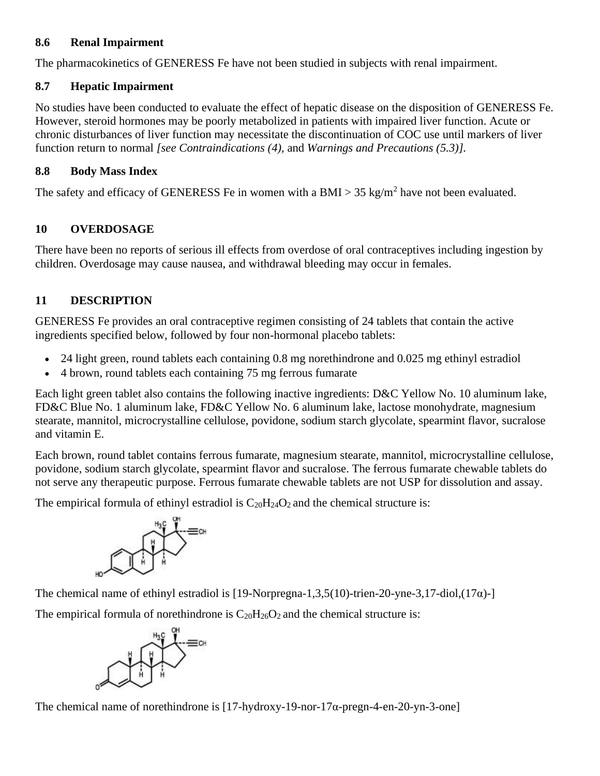#### **8.6 Renal Impairment**

The pharmacokinetics of GENERESS Fe have not been studied in subjects with renal impairment.

## **8.7 Hepatic Impairment**

No studies have been conducted to evaluate the effect of hepatic disease on the disposition of GENERESS Fe. However, steroid hormones may be poorly metabolized in patients with impaired liver function. Acute or chronic disturbances of liver function may necessitate the discontinuation of COC use until markers of liver function return to normal *[see Contraindications [\(4\)](file:///C:/Users/agiella/AppData/Local/Microsoft/Windows/Temporary%20Internet%20Files/Content.Outlook/AppData/Local/Microsoft/Windows/Temporary%20Internet%20Files/Content.IE5/PWRZYO3D/LINK_ac83928f-ccd0-4e80-a016-279a29b57cb5),* and *Warnings and Precautions [\(5.3\)](file:///C:/Users/agiella/AppData/Local/Microsoft/Windows/Temporary%20Internet%20Files/Content.Outlook/AppData/Local/Microsoft/Windows/Temporary%20Internet%20Files/Content.IE5/PWRZYO3D/LINK_eadfaa15-261d-4a11-a898-cd19bd2230b5)].*

## **8.8 Body Mass Index**

The safety and efficacy of GENERESS Fe in women with a BMI > 35 kg/m<sup>2</sup> have not been evaluated.

# **10 OVERDOSAGE**

There have been no reports of serious ill effects from overdose of oral contraceptives including ingestion by children. Overdosage may cause nausea, and withdrawal bleeding may occur in females.

# **11 DESCRIPTION**

GENERESS Fe provides an oral contraceptive regimen consisting of 24 tablets that contain the active ingredients specified below, followed by four non-hormonal placebo tablets:

- 24 light green, round tablets each containing 0.8 mg norethindrone and 0.025 mg ethinyl estradiol
- 4 brown, round tablets each containing 75 mg ferrous fumarate

Each light green tablet also contains the following inactive ingredients: D&C Yellow No. 10 aluminum lake, FD&C Blue No. 1 aluminum lake, FD&C Yellow No. 6 aluminum lake, lactose monohydrate, magnesium stearate, mannitol, microcrystalline cellulose, povidone, sodium starch glycolate, spearmint flavor, sucralose and vitamin E.

Each brown, round tablet contains ferrous fumarate, magnesium stearate, mannitol, microcrystalline cellulose, povidone, sodium starch glycolate, spearmint flavor and sucralose. The ferrous fumarate chewable tablets do not serve any therapeutic purpose. Ferrous fumarate chewable tablets are not USP for dissolution and assay.

The empirical formula of ethinyl estradiol is  $C_{20}H_{24}O_2$  and the chemical structure is:



The chemical name of ethinyl estradiol is  $[19-Norpregna-1,3,5(10)-trien-20-vne-3,17-diol,(17\alpha)-1]$ 

The empirical formula of norethindrone is  $C_{20}H_{26}O_2$  and the chemical structure is:



The chemical name of norethindrone is [17-hydroxy-19-nor-17α-pregn-4-en-20-yn-3-one]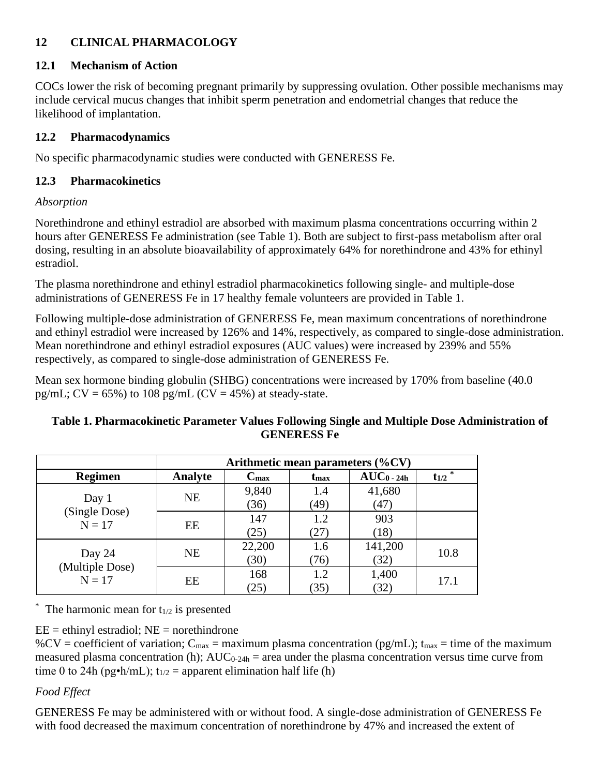# **12 CLINICAL PHARMACOLOGY**

#### **12.1 Mechanism of Action**

COCs lower the risk of becoming pregnant primarily by suppressing ovulation. Other possible mechanisms may include cervical mucus changes that inhibit sperm penetration and endometrial changes that reduce the likelihood of implantation.

#### **12.2 Pharmacodynamics**

No specific pharmacodynamic studies were conducted with GENERESS Fe.

#### **12.3 Pharmacokinetics**

#### *Absorption*

Norethindrone and ethinyl estradiol are absorbed with maximum plasma concentrations occurring within 2 hours after GENERESS Fe administration (see Table 1). Both are subject to first-pass metabolism after oral dosing, resulting in an absolute bioavailability of approximately 64% for norethindrone and 43% for ethinyl estradiol.

The plasma norethindrone and ethinyl estradiol pharmacokinetics following single- and multiple-dose administrations of GENERESS Fe in 17 healthy female volunteers are provided in Table 1.

Following multiple-dose administration of GENERESS Fe, mean maximum concentrations of norethindrone and ethinyl estradiol were increased by 126% and 14%, respectively, as compared to single-dose administration. Mean norethindrone and ethinyl estradiol exposures (AUC values) were increased by 239% and 55% respectively, as compared to single-dose administration of GENERESS Fe.

Mean sex hormone binding globulin (SHBG) concentrations were increased by 170% from baseline (40.0 pg/mL;  $CV = 65\%$ ) to 108 pg/mL ( $CV = 45\%$ ) at steady-state.

#### **Table 1. Pharmacokinetic Parameter Values Following Single and Multiple Dose Administration of GENERESS Fe**

|                                       | Arithmetic mean parameters $(\%CV)$ |                  |                         |               |                        |
|---------------------------------------|-------------------------------------|------------------|-------------------------|---------------|------------------------|
| Regimen                               | Analyte                             | $C_{\text{max}}$ | <b>t</b> <sub>max</sub> | $AUC_0$ - 24h | $\overline{t_{1/2}}^*$ |
| Day 1<br>(Single Dose)<br>$N = 17$    | <b>NE</b>                           | 9,840            | 1.4                     | 41,680        |                        |
|                                       |                                     | (36)             | (49)                    | (47)          |                        |
|                                       | EE                                  | 147              | 1.2                     | 903           |                        |
|                                       |                                     | (25)             | (27)                    | (18)          |                        |
| Day 24<br>(Multiple Dose)<br>$N = 17$ | <b>NE</b>                           | 22,200           | 1.6                     | 141,200       | 10.8                   |
|                                       |                                     | (30)             | (76)                    | (32)          |                        |
|                                       | EE                                  | 168              | 1.2                     | 1,400         | 17.1                   |
|                                       |                                     | (25)             | (35)                    | (32)          |                        |

The harmonic mean for  $t_{1/2}$  is presented

## $EE =$  ethinyl estradiol;  $NE =$  norethindrone

%CV = coefficient of variation;  $C_{\text{max}}$  = maximum plasma concentration (pg/mL); t<sub>max</sub> = time of the maximum measured plasma concentration (h);  $AUC_{0-24h}$  = area under the plasma concentration versus time curve from time 0 to 24h (pg•h/mL);  $t_{1/2}$  = apparent elimination half life (h)

# *Food Effect*

GENERESS Fe may be administered with or without food. A single-dose administration of GENERESS Fe with food decreased the maximum concentration of norethindrone by 47% and increased the extent of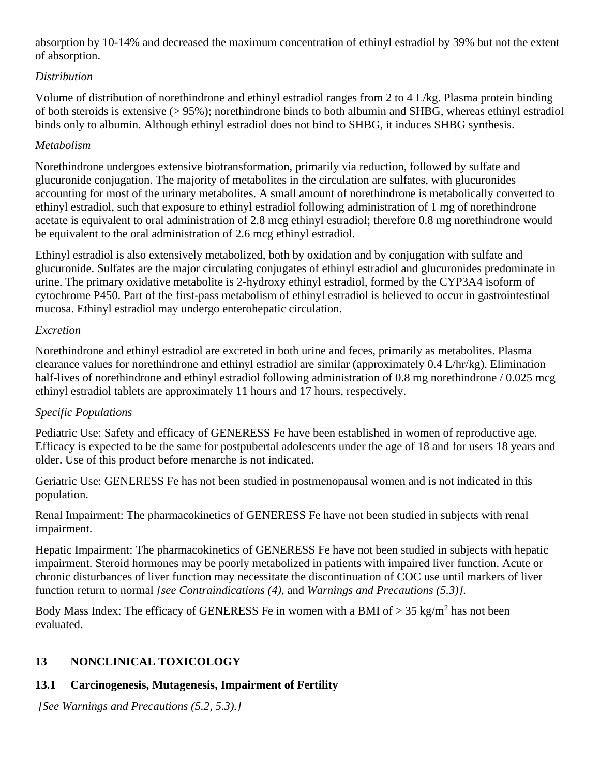absorption by 10-14% and decreased the maximum concentration of ethinyl estradiol by 39% but not the extent of absorption.

## *Distribution*

Volume of distribution of norethindrone and ethinyl estradiol ranges from 2 to 4 L/kg. Plasma protein binding of both steroids is extensive (> 95%); norethindrone binds to both albumin and SHBG, whereas ethinyl estradiol binds only to albumin. Although ethinyl estradiol does not bind to SHBG, it induces SHBG synthesis.

## *Metabolism*

Norethindrone undergoes extensive biotransformation, primarily via reduction, followed by sulfate and glucuronide conjugation. The majority of metabolites in the circulation are sulfates, with glucuronides accounting for most of the urinary metabolites. A small amount of norethindrone is metabolically converted to ethinyl estradiol, such that exposure to ethinyl estradiol following administration of 1 mg of norethindrone acetate is equivalent to oral administration of 2.8 mcg ethinyl estradiol; therefore 0.8 mg norethindrone would be equivalent to the oral administration of 2.6 mcg ethinyl estradiol.

Ethinyl estradiol is also extensively metabolized, both by oxidation and by conjugation with sulfate and glucuronide. Sulfates are the major circulating conjugates of ethinyl estradiol and glucuronides predominate in urine. The primary oxidative metabolite is 2-hydroxy ethinyl estradiol, formed by the CYP3A4 isoform of cytochrome P450. Part of the first-pass metabolism of ethinyl estradiol is believed to occur in gastrointestinal mucosa. Ethinyl estradiol may undergo enterohepatic circulation.

## *Excretion*

Norethindrone and ethinyl estradiol are excreted in both urine and feces, primarily as metabolites. Plasma clearance values for norethindrone and ethinyl estradiol are similar (approximately 0.4 L/hr/kg). Elimination half-lives of norethindrone and ethinyl estradiol following administration of 0.8 mg norethindrone / 0.025 mcg ethinyl estradiol tablets are approximately 11 hours and 17 hours, respectively.

# *Specific Populations*

Pediatric Use: Safety and efficacy of GENERESS Fe have been established in women of reproductive age. Efficacy is expected to be the same for postpubertal adolescents under the age of 18 and for users 18 years and older. Use of this product before menarche is not indicated.

Geriatric Use: GENERESS Fe has not been studied in postmenopausal women and is not indicated in this population.

Renal Impairment: The pharmacokinetics of GENERESS Fe have not been studied in subjects with renal impairment.

Hepatic Impairment: The pharmacokinetics of GENERESS Fe have not been studied in subjects with hepatic impairment. Steroid hormones may be poorly metabolized in patients with impaired liver function. Acute or chronic disturbances of liver function may necessitate the discontinuation of COC use until markers of liver function return to normal *[see Contraindications [\(4\)](file:///C:/Users/agiella/AppData/Local/Microsoft/Windows/Temporary%20Internet%20Files/Content.Outlook/AppData/Local/Microsoft/Windows/Temporary%20Internet%20Files/Content.IE5/PWRZYO3D/LINK_ac83928f-ccd0-4e80-a016-279a29b57cb5),* and *Warnings and Precautions [\(5.3\)](file:///C:/Users/agiella/AppData/Local/Microsoft/Windows/Temporary%20Internet%20Files/Content.Outlook/AppData/Local/Microsoft/Windows/Temporary%20Internet%20Files/Content.IE5/PWRZYO3D/LINK_eadfaa15-261d-4a11-a898-cd19bd2230b5)].*

Body Mass Index: The efficacy of GENERESS Fe in women with a BMI of  $> 35 \text{ kg/m}^2$  has not been evaluated.

# **13 NONCLINICAL TOXICOLOGY**

# **13.1 Carcinogenesis, Mutagenesis, Impairment of Fertility**

*[See Warnings and Precautions [\(5.2,](file:///C:/Users/agiella/AppData/Local/Microsoft/Windows/Temporary%20Internet%20Files/Content.Outlook/AppData/Local/Microsoft/Windows/Temporary%20Internet%20Files/Content.IE5/PWRZYO3D/LINK_92fc0191-36cc-4830-b099-a98d6db2f18d) [5.3\)](file:///C:/Users/agiella/AppData/Local/Microsoft/Windows/Temporary%20Internet%20Files/Content.Outlook/AppData/Local/Microsoft/Windows/Temporary%20Internet%20Files/Content.IE5/PWRZYO3D/LINK_eadfaa15-261d-4a11-a898-cd19bd2230b5).]*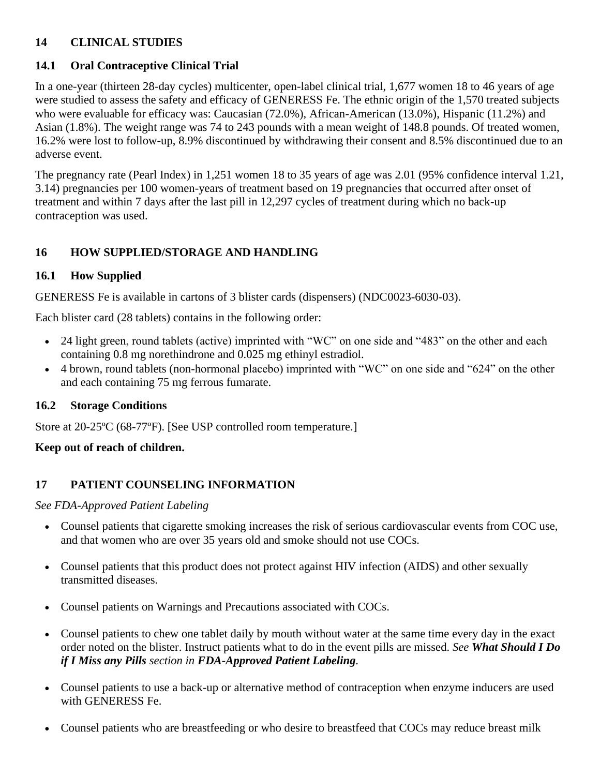## **14 CLINICAL STUDIES**

# **14.1 Oral Contraceptive Clinical Trial**

In a one-year (thirteen 28-day cycles) multicenter, open-label clinical trial, 1,677 women 18 to 46 years of age were studied to assess the safety and efficacy of GENERESS Fe. The ethnic origin of the 1,570 treated subjects who were evaluable for efficacy was: Caucasian (72.0%), African-American (13.0%), Hispanic (11.2%) and Asian (1.8%). The weight range was 74 to 243 pounds with a mean weight of 148.8 pounds. Of treated women, 16.2% were lost to follow-up, 8.9% discontinued by withdrawing their consent and 8.5% discontinued due to an adverse event.

The pregnancy rate (Pearl Index) in 1,251 women 18 to 35 years of age was 2.01 (95% confidence interval 1.21, 3.14) pregnancies per 100 women-years of treatment based on 19 pregnancies that occurred after onset of treatment and within 7 days after the last pill in 12,297 cycles of treatment during which no back-up contraception was used.

## **16 HOW SUPPLIED/STORAGE AND HANDLING**

## **16.1 How Supplied**

GENERESS Fe is available in cartons of 3 blister cards (dispensers) (NDC0023-6030-03).

Each blister card (28 tablets) contains in the following order:

- 24 light green, round tablets (active) imprinted with "WC" on one side and "483" on the other and each containing 0.8 mg norethindrone and 0.025 mg ethinyl estradiol.
- 4 brown, round tablets (non-hormonal placebo) imprinted with "WC" on one side and "624" on the other and each containing 75 mg ferrous fumarate.

## **16.2 Storage Conditions**

Store at 20-25ºC (68-77ºF). [See USP controlled room temperature.]

## **Keep out of reach of children.**

## **17 PATIENT COUNSELING INFORMATION**

*See FDA-Approved Patient Labeling*

- Counsel patients that cigarette smoking increases the risk of serious cardiovascular events from COC use, and that women who are over 35 years old and smoke should not use COCs.
- Counsel patients that this product does not protect against HIV infection (AIDS) and other sexually transmitted diseases.
- Counsel patients on Warnings and Precautions associated with COCs.
- Counsel patients to chew one tablet daily by mouth without water at the same time every day in the exact order noted on the blister. Instruct patients what to do in the event pills are missed. *See What Should I Do if I Miss any Pills section in FDA-Approved Patient Labeling.*
- Counsel patients to use a back-up or alternative method of contraception when enzyme inducers are used with GENERESS Fe.
- Counsel patients who are breastfeeding or who desire to breastfeed that COCs may reduce breast milk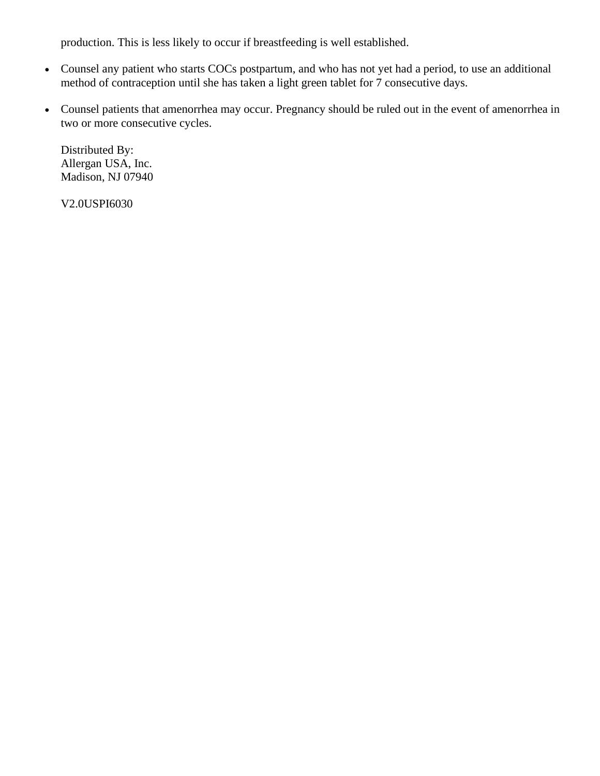production. This is less likely to occur if breastfeeding is well established.

- Counsel any patient who starts COCs postpartum, and who has not yet had a period, to use an additional method of contraception until she has taken a light green tablet for 7 consecutive days.
- Counsel patients that amenorrhea may occur. Pregnancy should be ruled out in the event of amenorrhea in two or more consecutive cycles.

Distributed By: Allergan USA, Inc. Madison, NJ 07940

V2.0USPI6030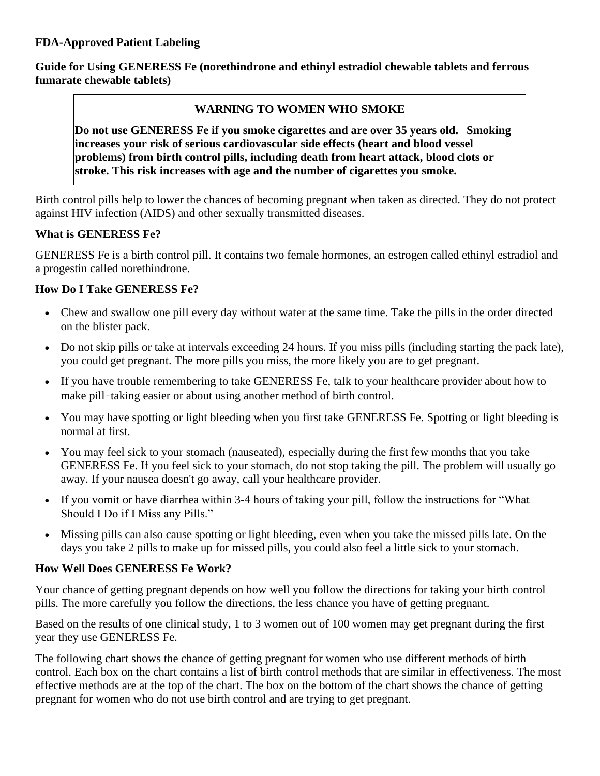**Guide for Using GENERESS Fe (norethindrone and ethinyl estradiol chewable tablets and ferrous fumarate chewable tablets)**

## **WARNING TO WOMEN WHO SMOKE**

**Do not use GENERESS Fe if you smoke cigarettes and are over 35 years old. Smoking increases your risk of serious cardiovascular side effects (heart and blood vessel problems) from birth control pills, including death from heart attack, blood clots or stroke. This risk increases with age and the number of cigarettes you smoke.** 

Birth control pills help to lower the chances of becoming pregnant when taken as directed. They do not protect against HIV infection (AIDS) and other sexually transmitted diseases.

## **What is GENERESS Fe?**

GENERESS Fe is a birth control pill. It contains two female hormones, an estrogen called ethinyl estradiol and a progestin called norethindrone.

## **How Do I Take GENERESS Fe?**

- Chew and swallow one pill every day without water at the same time. Take the pills in the order directed on the blister pack.
- Do not skip pills or take at intervals exceeding 24 hours. If you miss pills (including starting the pack late), you could get pregnant. The more pills you miss, the more likely you are to get pregnant.
- If you have trouble remembering to take GENERESS Fe, talk to your healthcare provider about how to make pill-taking easier or about using another method of birth control.
- You may have spotting or light bleeding when you first take GENERESS Fe. Spotting or light bleeding is normal at first.
- You may feel sick to your stomach (nauseated), especially during the first few months that you take GENERESS Fe. If you feel sick to your stomach, do not stop taking the pill. The problem will usually go away. If your nausea doesn't go away, call your healthcare provider.
- If you vomit or have diarrhea within 3-4 hours of taking your pill, follow the instructions for "What Should I Do if I Miss any Pills."
- Missing pills can also cause spotting or light bleeding, even when you take the missed pills late. On the days you take 2 pills to make up for missed pills, you could also feel a little sick to your stomach.

## **How Well Does GENERESS Fe Work?**

Your chance of getting pregnant depends on how well you follow the directions for taking your birth control pills. The more carefully you follow the directions, the less chance you have of getting pregnant.

Based on the results of one clinical study, 1 to 3 women out of 100 women may get pregnant during the first year they use GENERESS Fe.

The following chart shows the chance of getting pregnant for women who use different methods of birth control. Each box on the chart contains a list of birth control methods that are similar in effectiveness. The most effective methods are at the top of the chart. The box on the bottom of the chart shows the chance of getting pregnant for women who do not use birth control and are trying to get pregnant.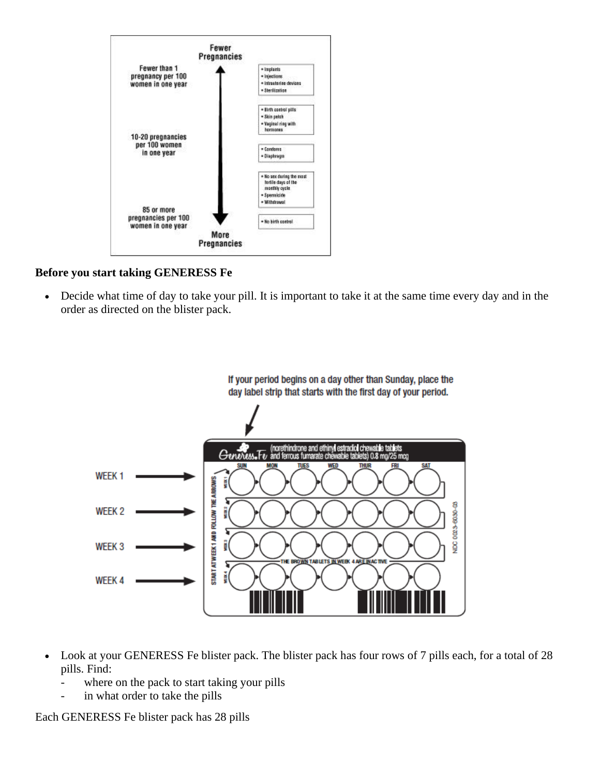

#### **Before you start taking GENERESS Fe**

• Decide what time of day to take your pill. It is important to take it at the same time every day and in the order as directed on the blister pack.



- Look at your GENERESS Fe blister pack. The blister pack has four rows of 7 pills each, for a total of 28 pills. Find:
	- where on the pack to start taking your pills
	- in what order to take the pills

Each GENERESS Fe blister pack has 28 pills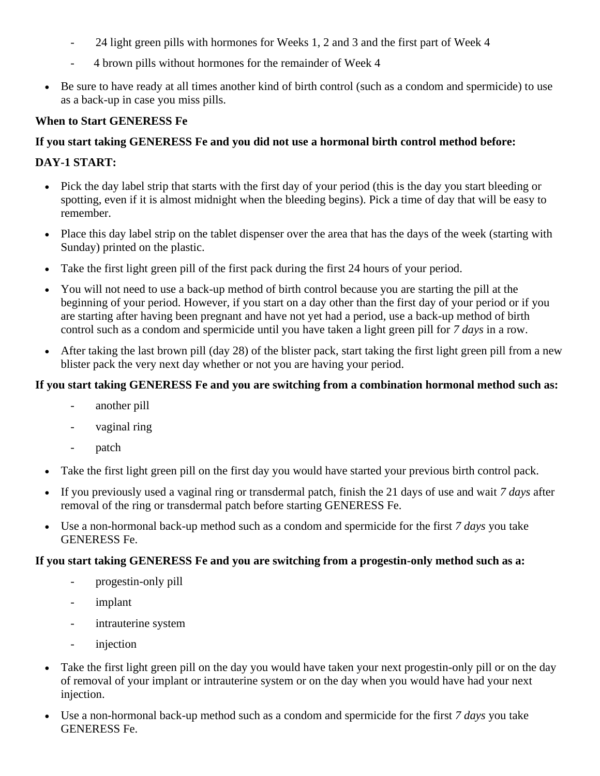- 24 light green pills with hormones for Weeks 1, 2 and 3 and the first part of Week 4
- 4 brown pills without hormones for the remainder of Week 4
- Be sure to have ready at all times another kind of birth control (such as a condom and spermicide) to use as a back-up in case you miss pills.

#### **When to Start GENERESS Fe**

#### **If you start taking GENERESS Fe and you did not use a hormonal birth control method before:**

#### **DAY-1 START:**

- Pick the day label strip that starts with the first day of your period (this is the day you start bleeding or spotting, even if it is almost midnight when the bleeding begins). Pick a time of day that will be easy to remember.
- Place this day label strip on the tablet dispenser over the area that has the days of the week (starting with Sunday) printed on the plastic.
- Take the first light green pill of the first pack during the first 24 hours of your period.
- You will not need to use a back-up method of birth control because you are starting the pill at the beginning of your period. However, if you start on a day other than the first day of your period or if you are starting after having been pregnant and have not yet had a period, use a back-up method of birth control such as a condom and spermicide until you have taken a light green pill for *7 days* in a row.
- After taking the last brown pill (day 28) of the blister pack, start taking the first light green pill from a new blister pack the very next day whether or not you are having your period.

## **If you start taking GENERESS Fe and you are switching from a combination hormonal method such as:**

- another pill
- vaginal ring
- patch
- Take the first light green pill on the first day you would have started your previous birth control pack.
- If you previously used a vaginal ring or transdermal patch, finish the 21 days of use and wait *7 days* after removal of the ring or transdermal patch before starting GENERESS Fe.
- Use a non-hormonal back-up method such as a condom and spermicide for the first *7 days* you take GENERESS Fe.

#### **If you start taking GENERESS Fe and you are switching from a progestin-only method such as a:**

- progestin-only pill
- implant
- intrauterine system
- injection
- Take the first light green pill on the day you would have taken your next progestin-only pill or on the day of removal of your implant or intrauterine system or on the day when you would have had your next injection.
- Use a non-hormonal back-up method such as a condom and spermicide for the first *7 days* you take GENERESS Fe.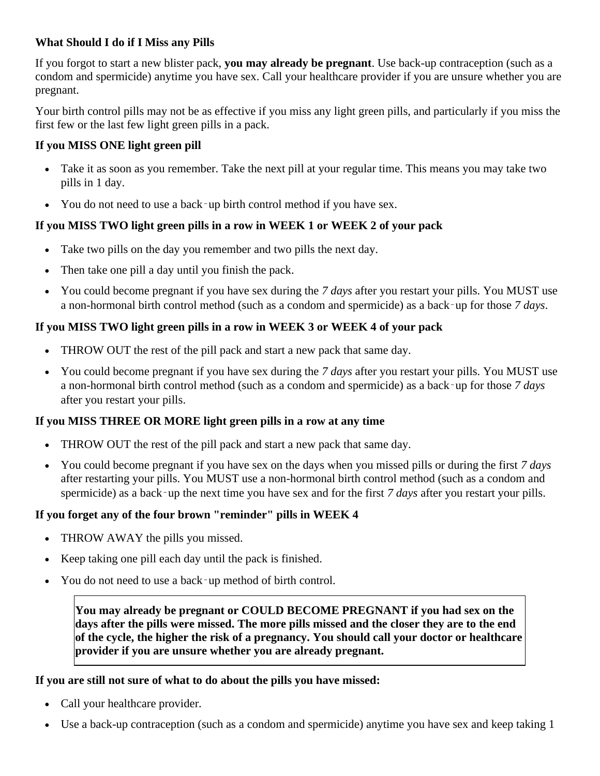#### **What Should I do if I Miss any Pills**

If you forgot to start a new blister pack, **you may already be pregnant**. Use back-up contraception (such as a condom and spermicide) anytime you have sex. Call your healthcare provider if you are unsure whether you are pregnant.

Your birth control pills may not be as effective if you miss any light green pills, and particularly if you miss the first few or the last few light green pills in a pack.

#### **If you MISS ONE light green pill**

- Take it as soon as you remember. Take the next pill at your regular time. This means you may take two pills in 1 day.
- You do not need to use a back–up birth control method if you have sex.

## **If you MISS TWO light green pills in a row in WEEK 1 or WEEK 2 of your pack**

- Take two pills on the day you remember and two pills the next day.
- Then take one pill a day until you finish the pack.
- You could become pregnant if you have sex during the *7 days* after you restart your pills. You MUST use a non-hormonal birth control method (such as a condom and spermicide) as a back‑up for those *7 days*.

#### **If you MISS TWO light green pills in a row in WEEK 3 or WEEK 4 of your pack**

- THROW OUT the rest of the pill pack and start a new pack that same day.
- You could become pregnant if you have sex during the *7 days* after you restart your pills. You MUST use a non-hormonal birth control method (such as a condom and spermicide) as a back‑up for those *7 days* after you restart your pills.

#### **If you MISS THREE OR MORE light green pills in a row at any time**

- THROW OUT the rest of the pill pack and start a new pack that same day.
- You could become pregnant if you have sex on the days when you missed pills or during the first *7 days* after restarting your pills. You MUST use a non-hormonal birth control method (such as a condom and spermicide) as a back–up the next time you have sex and for the first *7 days* after you restart your pills.

## **If you forget any of the four brown "reminder" pills in WEEK 4**

- THROW AWAY the pills you missed.
- Keep taking one pill each day until the pack is finished.
- You do not need to use a back–up method of birth control.

**You may already be pregnant or COULD BECOME PREGNANT if you had sex on the days after the pills were missed. The more pills missed and the closer they are to the end of the cycle, the higher the risk of a pregnancy. You should call your doctor or healthcare provider if you are unsure whether you are already pregnant.**

#### **If you are still not sure of what to do about the pills you have missed:**

- Call your healthcare provider.
- Use a back-up contraception (such as a condom and spermicide) anytime you have sex and keep taking 1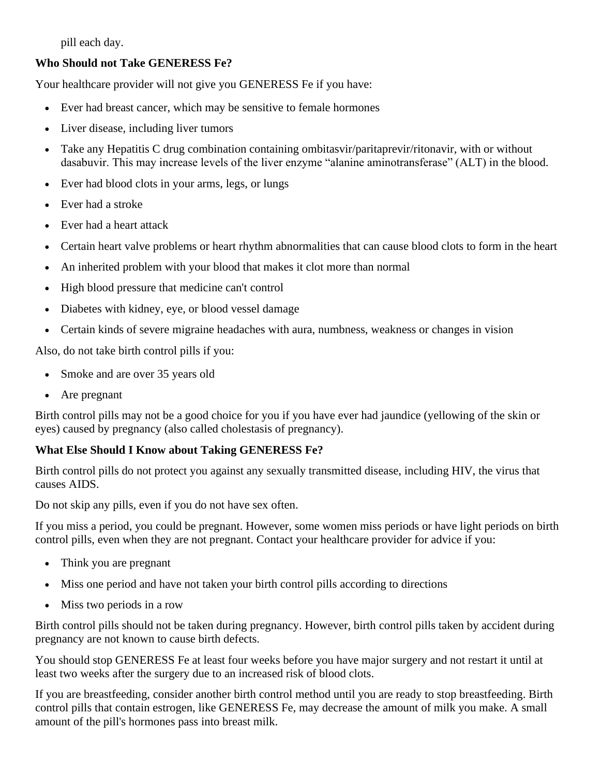pill each day.

#### **Who Should not Take GENERESS Fe?**

Your healthcare provider will not give you GENERESS Fe if you have:

- Ever had breast cancer, which may be sensitive to female hormones
- Liver disease, including liver tumors
- Take any Hepatitis C drug combination containing ombitasvir/paritaprevir/ritonavir, with or without dasabuvir. This may increase levels of the liver enzyme "alanine aminotransferase" (ALT) in the blood.
- Ever had blood clots in your arms, legs, or lungs
- Ever had a stroke
- Ever had a heart attack
- Certain heart valve problems or heart rhythm abnormalities that can cause blood clots to form in the heart
- An inherited problem with your blood that makes it clot more than normal
- High blood pressure that medicine can't control
- Diabetes with kidney, eye, or blood vessel damage
- Certain kinds of severe migraine headaches with aura, numbness, weakness or changes in vision

Also, do not take birth control pills if you:

- Smoke and are over 35 years old
- Are pregnant

Birth control pills may not be a good choice for you if you have ever had jaundice (yellowing of the skin or eyes) caused by pregnancy (also called cholestasis of pregnancy).

#### **What Else Should I Know about Taking GENERESS Fe?**

Birth control pills do not protect you against any sexually transmitted disease, including HIV, the virus that causes AIDS.

Do not skip any pills, even if you do not have sex often.

If you miss a period, you could be pregnant. However, some women miss periods or have light periods on birth control pills, even when they are not pregnant. Contact your healthcare provider for advice if you:

- Think you are pregnant
- Miss one period and have not taken your birth control pills according to directions
- Miss two periods in a row

Birth control pills should not be taken during pregnancy. However, birth control pills taken by accident during pregnancy are not known to cause birth defects.

You should stop GENERESS Fe at least four weeks before you have major surgery and not restart it until at least two weeks after the surgery due to an increased risk of blood clots.

If you are breastfeeding, consider another birth control method until you are ready to stop breastfeeding. Birth control pills that contain estrogen, like GENERESS Fe, may decrease the amount of milk you make. A small amount of the pill's hormones pass into breast milk.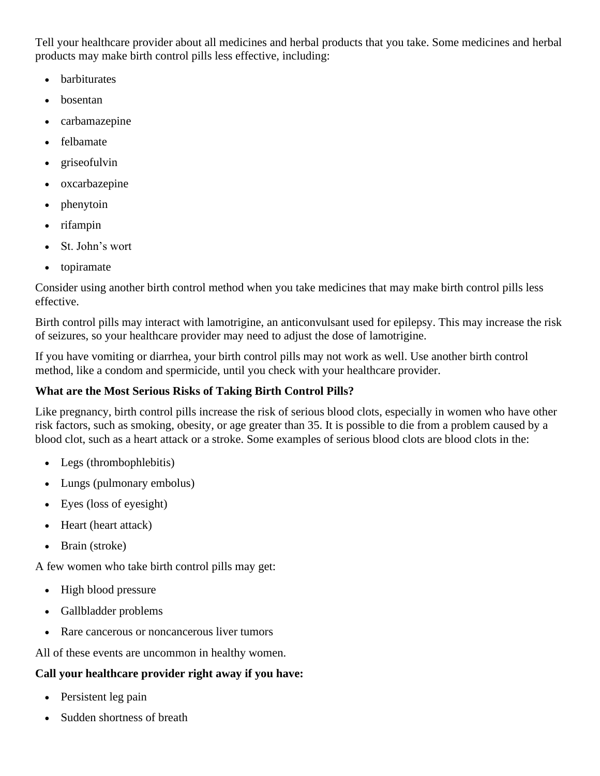Tell your healthcare provider about all medicines and herbal products that you take. Some medicines and herbal products may make birth control pills less effective, including:

- **barbiturates**
- bosentan
- carbamazepine
- felbamate
- griseofulvin
- oxcarbazepine
- phenytoin
- rifampin
- St. John's wort
- topiramate

Consider using another birth control method when you take medicines that may make birth control pills less effective.

Birth control pills may interact with lamotrigine, an anticonvulsant used for epilepsy. This may increase the risk of seizures, so your healthcare provider may need to adjust the dose of lamotrigine.

If you have vomiting or diarrhea, your birth control pills may not work as well. Use another birth control method, like a condom and spermicide, until you check with your healthcare provider.

# **What are the Most Serious Risks of Taking Birth Control Pills?**

Like pregnancy, birth control pills increase the risk of serious blood clots, especially in women who have other risk factors, such as smoking, obesity, or age greater than 35. It is possible to die from a problem caused by a blood clot, such as a heart attack or a stroke. Some examples of serious blood clots are blood clots in the:

- Legs (thrombophlebitis)
- Lungs (pulmonary embolus)
- Eyes (loss of eyesight)
- Heart (heart attack)
- Brain (stroke)

A few women who take birth control pills may get:

- High blood pressure
- Gallbladder problems
- Rare cancerous or noncancerous liver tumors

All of these events are uncommon in healthy women.

# **Call your healthcare provider right away if you have:**

- Persistent leg pain
- Sudden shortness of breath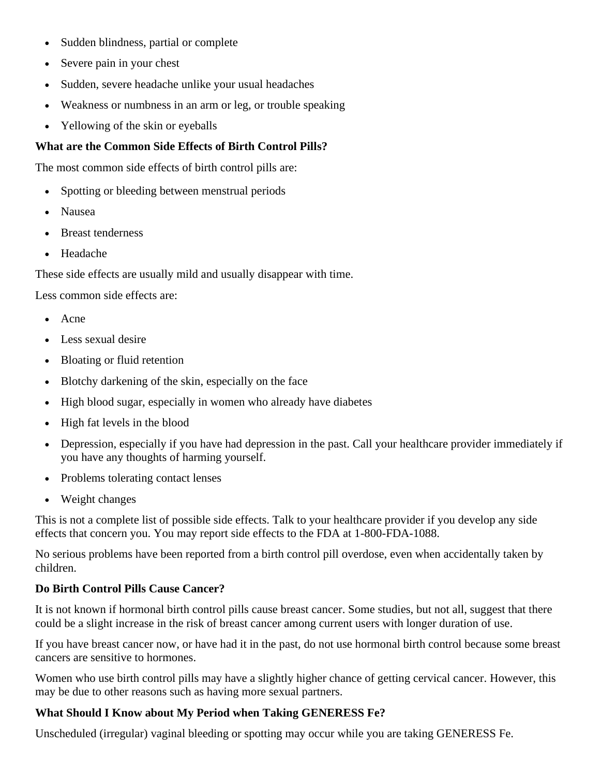- Sudden blindness, partial or complete
- Severe pain in your chest
- Sudden, severe headache unlike your usual headaches
- Weakness or numbness in an arm or leg, or trouble speaking
- Yellowing of the skin or eyeballs

#### **What are the Common Side Effects of Birth Control Pills?**

The most common side effects of birth control pills are:

- Spotting or bleeding between menstrual periods
- Nausea
- Breast tenderness
- Headache

These side effects are usually mild and usually disappear with time.

Less common side effects are:

- Acne
- Less sexual desire
- Bloating or fluid retention
- Blotchy darkening of the skin, especially on the face
- High blood sugar, especially in women who already have diabetes
- High fat levels in the blood
- Depression, especially if you have had depression in the past. Call your healthcare provider immediately if you have any thoughts of harming yourself.
- Problems tolerating contact lenses
- Weight changes

This is not a complete list of possible side effects. Talk to your healthcare provider if you develop any side effects that concern you. You may report side effects to the FDA at 1-800-FDA-1088.

No serious problems have been reported from a birth control pill overdose, even when accidentally taken by children.

## **Do Birth Control Pills Cause Cancer?**

It is not known if hormonal birth control pills cause breast cancer. Some studies, but not all, suggest that there could be a slight increase in the risk of breast cancer among current users with longer duration of use.

If you have breast cancer now, or have had it in the past, do not use hormonal birth control because some breast cancers are sensitive to hormones.

Women who use birth control pills may have a slightly higher chance of getting cervical cancer. However, this may be due to other reasons such as having more sexual partners.

## **What Should I Know about My Period when Taking GENERESS Fe?**

Unscheduled (irregular) vaginal bleeding or spotting may occur while you are taking GENERESS Fe.